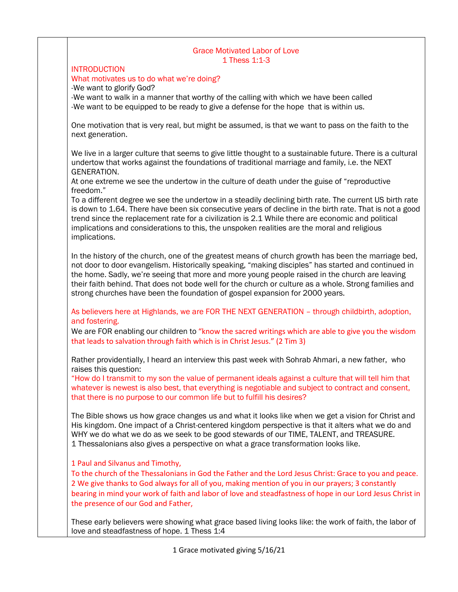## Grace Motivated Labor of Love 1 Thess 1:1-3

## **INTRODUCTION**

#### What motivates us to do what we're doing?

-We want to glorify God?

-We want to walk in a manner that worthy of the calling with which we have been called -We want to be equipped to be ready to give a defense for the hope that is within us.

One motivation that is very real, but might be assumed, is that we want to pass on the faith to the next generation.

We live in a larger culture that seems to give little thought to a sustainable future. There is a cultural undertow that works against the foundations of traditional marriage and family, i.e. the NEXT GENERATION.

At one extreme we see the undertow in the culture of death under the guise of "reproductive freedom."

To a different degree we see the undertow in a steadily declining birth rate. The current US birth rate is down to 1.64. There have been six consecutive years of decline in the birth rate. That is not a good trend since the replacement rate for a civilization is 2.1 While there are economic and political implications and considerations to this, the unspoken realities are the moral and religious implications.

In the history of the church, one of the greatest means of church growth has been the marriage bed, not door to door evangelism. Historically speaking, "making disciples" has started and continued in the home. Sadly, we're seeing that more and more young people raised in the church are leaving their faith behind. That does not bode well for the church or culture as a whole. Strong families and strong churches have been the foundation of gospel expansion for 2000 years.

As believers here at Highlands, we are FOR THE NEXT GENERATION – through childbirth, adoption, and fostering.

We are FOR enabling our children to "know the sacred writings which are able to give you the wisdom that leads to salvation through faith which is in Christ Jesus." (2 Tim 3)

Rather providentially, I heard an interview this past week with Sohrab Ahmari, a new father, who raises this question:

"How do I transmit to my son the value of permanent ideals against a culture that will tell him that whatever is newest is also best, that everything is negotiable and subject to contract and consent, that there is no purpose to our common life but to fulfill his desires?

The Bible shows us how grace changes us and what it looks like when we get a vision for Christ and His kingdom. One impact of a Christ-centered kingdom perspective is that it alters what we do and WHY we do what we do as we seek to be good stewards of our TIME, TALENT, and TREASURE. 1 Thessalonians also gives a perspective on what a grace transformation looks like.

### 1 Paul and Silvanus and Timothy,

To the church of the Thessalonians in God the Father and the Lord Jesus Christ: Grace to you and peace. 2 We give thanks to God always for all of you, making mention of you in our prayers; 3 constantly bearing in mind your work of faith and labor of love and steadfastness of hope in our Lord Jesus Christ in the presence of our God and Father,

These early believers were showing what grace based living looks like: the work of faith, the labor of love and steadfastness of hope. 1 Thess 1:4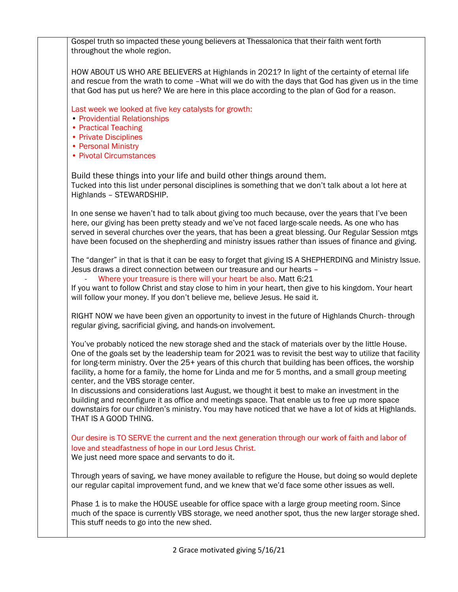Gospel truth so impacted these young believers at Thessalonica that their faith went forth throughout the whole region.

HOW ABOUT US WHO ARE BELIEVERS at Highlands in 2021? In light of the certainty of eternal life and rescue from the wrath to come –What will we do with the days that God has given us in the time that God has put us here? We are here in this place according to the plan of God for a reason.

Last week we looked at five key catalysts for growth:

- Providential Relationships
- Practical Teaching
- Private Disciplines
- Personal Ministry
- Pivotal Circumstances

Build these things into your life and build other things around them. Tucked into this list under personal disciplines is something that we don't talk about a lot here at Highlands – STEWARDSHIP.

In one sense we haven't had to talk about giving too much because, over the years that I've been here, our giving has been pretty steady and we've not faced large-scale needs. As one who has served in several churches over the years, that has been a great blessing. Our Regular Session mtgs have been focused on the shepherding and ministry issues rather than issues of finance and giving.

The "danger" in that is that it can be easy to forget that giving IS A SHEPHERDING and Ministry Issue. Jesus draws a direct connection between our treasure and our hearts –

Where your treasure is there will your heart be also. Matt 6:21

If you want to follow Christ and stay close to him in your heart, then give to his kingdom. Your heart will follow your money. If you don't believe me, believe Jesus. He said it.

RIGHT NOW we have been given an opportunity to invest in the future of Highlands Church- through regular giving, sacrificial giving, and hands-on involvement.

You've probably noticed the new storage shed and the stack of materials over by the little House. One of the goals set by the leadership team for 2021 was to revisit the best way to utilize that facility for long-term ministry. Over the 25+ years of this church that building has been offices, the worship facility, a home for a family, the home for Linda and me for 5 months, and a small group meeting center, and the VBS storage center.

In discussions and considerations last August, we thought it best to make an investment in the building and reconfigure it as office and meetings space. That enable us to free up more space downstairs for our children's ministry. You may have noticed that we have a lot of kids at Highlands. THAT IS A GOOD THING.

Our desire is TO SERVE the current and the next generation through our work of faith and labor of love and steadfastness of hope in our Lord Jesus Christ.

We just need more space and servants to do it.

Through years of saving, we have money available to refigure the House, but doing so would deplete our regular capital improvement fund, and we knew that we'd face some other issues as well.

Phase 1 is to make the HOUSE useable for office space with a large group meeting room. Since much of the space is currently VBS storage, we need another spot, thus the new larger storage shed. This stuff needs to go into the new shed.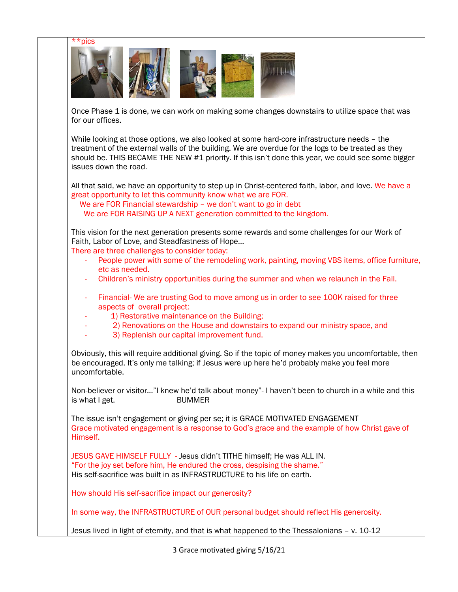

Once Phase 1 is done, we can work on making some changes downstairs to utilize space that was for our offices.

While looking at those options, we also looked at some hard-core infrastructure needs – the treatment of the external walls of the building. We are overdue for the logs to be treated as they should be. THIS BECAME THE NEW #1 priority. If this isn't done this year, we could see some bigger issues down the road.

All that said, we have an opportunity to step up in Christ-centered faith, labor, and love. We have a great opportunity to let this community know what we are FOR.

We are FOR Financial stewardship – we don't want to go in debt

We are FOR RAISING UP A NEXT generation committed to the kingdom.

This vision for the next generation presents some rewards and some challenges for our Work of Faith, Labor of Love, and Steadfastness of Hope…

There are three challenges to consider today:

- People power with some of the remodeling work, painting, moving VBS items, office furniture, etc as needed.
- Children's ministry opportunities during the summer and when we relaunch in the Fall.
- Financial- We are trusting God to move among us in order to see 100K raised for three aspects of overall project:
- 1) Restorative maintenance on the Building;
- 2) Renovations on the House and downstairs to expand our ministry space, and
- 3) Replenish our capital improvement fund.

Obviously, this will require additional giving. So if the topic of money makes you uncomfortable, then be encouraged. It's only me talking; if Jesus were up here he'd probably make you feel more uncomfortable.

Non-believer or visitor…"I knew he'd talk about money"- I haven't been to church in a while and this is what I get. BUMMER

The issue isn't engagement or giving per se; it is GRACE MOTIVATED ENGAGEMENT Grace motivated engagement is a response to God's grace and the example of how Christ gave of Himself.

JESUS GAVE HIMSELF FULLY - Jesus didn't TITHE himself; He was ALL IN. "For the joy set before him, He endured the cross, despising the shame." His self-sacrifice was built in as INFRASTRUCTURE to his life on earth.

How should His self-sacrifice impact our generosity?

In some way, the INFRASTRUCTURE of OUR personal budget should reflect His generosity.

Jesus lived in light of eternity, and that is what happened to the Thessalonians – v. 10-12

3 Grace motivated giving 5/16/21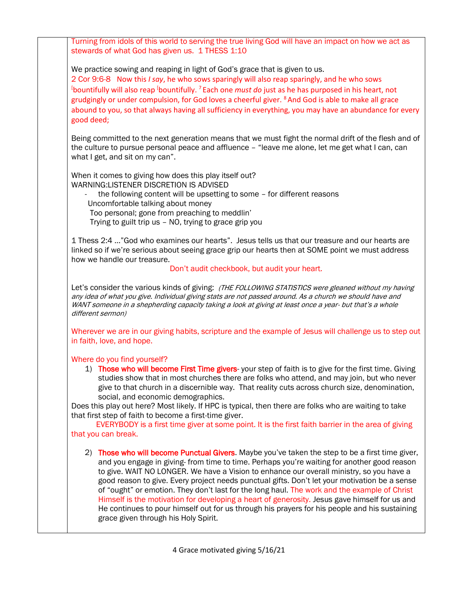Turning from idols of this world to serving the true living God will have an impact on how we act as stewards of what God has given us. 1 THESS 1:10

We practice sowing and reaping in light of God's grace that is given to us.

2 Cor 9:6-8 Now this *I say*, he who sows sparingly will also reap sparingly, and he who sows [bountifully will also reap [bountifully. <sup>7</sup> Each one *must do* just as he has purposed in his heart, not grudgingly or under compulsion, for God loves a cheerful giver. <sup>8</sup> And God is able to make all grace abound to you, so that always having all sufficiency in everything, you may have an abundance for every good deed;

Being committed to the next generation means that we must fight the normal drift of the flesh and of the culture to pursue personal peace and affluence – "leave me alone, let me get what I can, can what I get, and sit on my can".

When it comes to giving how does this play itself out? WARNING:LISTENER DISCRETION IS ADVISED

the following content will be upsetting to some – for different reasons Uncomfortable talking about money Too personal; gone from preaching to meddlin' Trying to guilt trip us – NO, trying to grace grip you

1 Thess 2:4 …"God who examines our hearts". Jesus tells us that our treasure and our hearts are linked so if we're serious about seeing grace grip our hearts then at SOME point we must address how we handle our treasure.

### Don't audit checkbook, but audit your heart.

Let's consider the various kinds of giving: (THE FOLLOWING STATISTICS were gleaned without my having any idea of what you give. Individual giving stats are not passed around. As a church we should have and WANT someone in a shepherding capacity taking a look at giving at least once a year- but that's a whole different sermon)

Wherever we are in our giving habits, scripture and the example of Jesus will challenge us to step out in faith, love, and hope.

Where do you find yourself?

1) Those who will become First Time givers-your step of faith is to give for the first time. Giving studies show that in most churches there are folks who attend, and may join, but who never give to that church in a discernible way. That reality cuts across church size, denomination, social, and economic demographics.

Does this play out here? Most likely. If HPC is typical, then there are folks who are waiting to take that first step of faith to become a first-time giver.

 EVERYBODY is a first time giver at some point. It is the first faith barrier in the area of giving that you can break.

2) Those who will become Punctual Givers. Maybe you've taken the step to be a first time giver, and you engage in giving- from time to time. Perhaps you're waiting for another good reason to give. WAIT NO LONGER. We have a Vision to enhance our overall ministry, so you have a good reason to give. Every project needs punctual gifts. Don't let your motivation be a sense of "ought" or emotion. They don't last for the long haul. The work and the example of Christ Himself is the motivation for developing a heart of generosity. Jesus gave himself for us and He continues to pour himself out for us through his prayers for his people and his sustaining grace given through his Holy Spirit.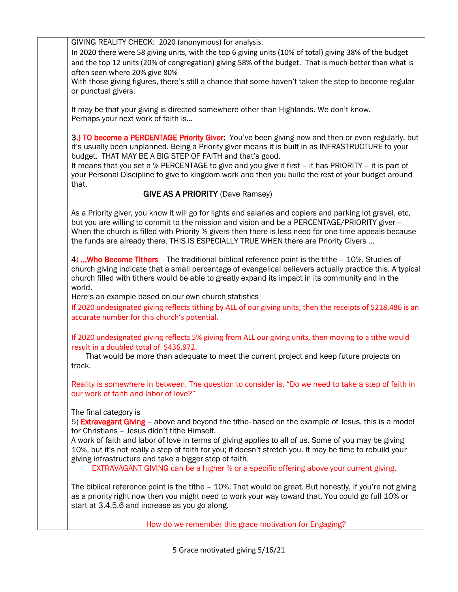GIVING REALITY CHECK: 2020 (anonymous) for analysis.

In 2020 there were 58 giving units, with the top 6 giving units (10% of total) giving 38% of the budget and the top 12 units (20% of congregation) giving 58% of the budget. That is much better than what is often seen where 20% give 80%

With those giving figures, there's still a chance that some haven't taken the step to become regular or punctual givers.

It may be that your giving is directed somewhere other than Highlands. We don't know. Perhaps your next work of faith is…

3.) TO become a PERCENTAGE Priority Giver: You've been giving now and then or even regularly, but it's usually been unplanned. Being a Priority giver means it is built in as INFRASTRUCTURE to your budget. THAT MAY BE A BIG STEP OF FAITH and that's good.

It means that you set a % PERCENTAGE to give and you give it first – it has PRIORITY – it is part of your Personal Discipline to give to kingdom work and then you build the rest of your budget around that.

# GIVE AS A PRIORITY (Dave Ramsey)

As a Priority giver, you know it will go for lights and salaries and copiers and parking lot gravel, etc, but you are willing to commit to the mission and vision and be a PERCENTAGE/PRIORITY giver -When the church is filled with Priority % givers then there is less need for one-time appeals because the funds are already there. THIS IS ESPECIALLY TRUE WHEN there are Priority Givers …

4) ... Who Become Tithers - The traditional biblical reference point is the tithe - 10%. Studies of church giving indicate that a small percentage of evangelical believers actually practice this. A typical church filled with tithers would be able to greatly expand its impact in its community and in the world.

Here's an example based on our own church statistics

If 2020 undesignated giving reflects tithing by ALL of our giving units, then the receipts of \$218,486 is an accurate number for this church's potential.

If 2020 undesignated giving reflects 5% giving from ALL our giving units, then moving to a tithe would result in a doubled total of \$436,972.

 That would be more than adequate to meet the current project and keep future projects on track.

Reality is somewhere in between. The question to consider is, "Do we need to take a step of faith in our work of faith and labor of love?"

The final category is

5) **Extravagant Giving** – above and beyond the tithe- based on the example of Jesus, this is a model for Christians – Jesus didn't tithe Himself.

A work of faith and labor of love in terms of giving applies to all of us. Some of you may be giving 10%, but it's not really a step of faith for you; it doesn't stretch you. It may be time to rebuild your giving infrastructure and take a bigger step of faith.

EXTRAVAGANT GIVING can be a higher % or a specific offering above your current giving.

The biblical reference point is the tithe – 10%. That would be great. But honestly, if you're not giving as a priority right now then you might need to work your way toward that. You could go full 10% or start at 3,4,5,6 and increase as you go along.

How do we remember this grace motivation for Engaging?

5 Grace motivated giving 5/16/21